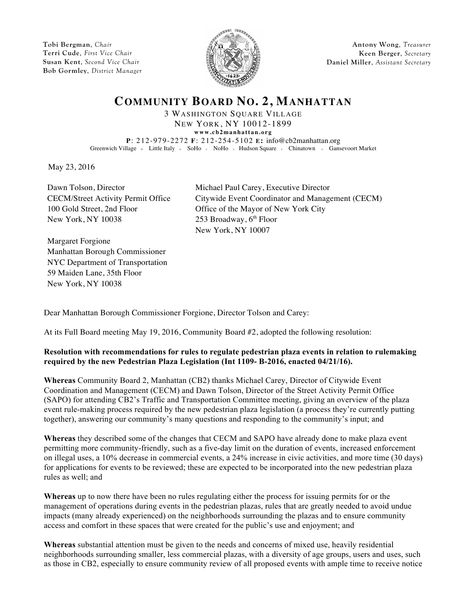**Tobi Bergman**, *Chair* **Terri Cude**, *First Vice Chair* **Susan Kent**, *Second Vice Chair* **Bob Gormley**, *District Manager*



**Antony Wong**, *Treasurer* **Keen Berger**, *Secretary* **Daniel Miller**, *Assistant Secretary*

## **COMMUNITY BOARD NO. 2, MANHATTAN**

3 WASHINGTON SQUARE VILLAGE NEW YORK, NY 10012-1899 **www.cb2manhattan.org**

**P**: 212-979-2272 **F**: 212-254-5102 **E:** info@cb2manhattan.org Greenwich Village v Little Italy v SoHo v NoHo v Hudson Square v Chinatown v Gansevoort Market

May 23, 2016

Dawn Tolson, Director Michael Paul Carey, Executive Director CECM/Street Activity Permit Office Citywide Event Coordinator and Management (CECM) New York, NY 10038 253 Broadway, 6<sup>th</sup> Floor

100 Gold Street, 2nd Floor Office of the Mayor of New York City New York, NY 10007

Margaret Forgione Manhattan Borough Commissioner NYC Department of Transportation 59 Maiden Lane, 35th Floor New York, NY 10038

Dear Manhattan Borough Commissioner Forgione, Director Tolson and Carey:

At its Full Board meeting May 19, 2016, Community Board #2, adopted the following resolution:

## **Resolution with recommendations for rules to regulate pedestrian plaza events in relation to rulemaking required by the new Pedestrian Plaza Legislation (Int 1109- B-2016, enacted 04/21/16).**

**Whereas** Community Board 2, Manhattan (CB2) thanks Michael Carey, Director of Citywide Event Coordination and Management (CECM) and Dawn Tolson, Director of the Street Activity Permit Office (SAPO) for attending CB2's Traffic and Transportation Committee meeting, giving an overview of the plaza event rule-making process required by the new pedestrian plaza legislation (a process they're currently putting together), answering our community's many questions and responding to the community's input; and

**Whereas** they described some of the changes that CECM and SAPO have already done to make plaza event permitting more community-friendly, such as a five-day limit on the duration of events, increased enforcement on illegal uses, a 10% decrease in commercial events, a 24% increase in civic activities, and more time (30 days) for applications for events to be reviewed; these are expected to be incorporated into the new pedestrian plaza rules as well; and

**Whereas** up to now there have been no rules regulating either the process for issuing permits for or the management of operations during events in the pedestrian plazas, rules that are greatly needed to avoid undue impacts (many already experienced) on the neighborhoods surrounding the plazas and to ensure community access and comfort in these spaces that were created for the public's use and enjoyment; and

**Whereas** substantial attention must be given to the needs and concerns of mixed use, heavily residential neighborhoods surrounding smaller, less commercial plazas, with a diversity of age groups, users and uses, such as those in CB2, especially to ensure community review of all proposed events with ample time to receive notice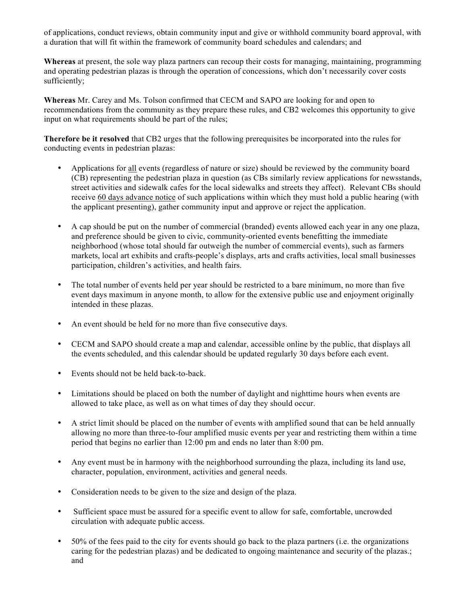of applications, conduct reviews, obtain community input and give or withhold community board approval, with a duration that will fit within the framework of community board schedules and calendars; and

**Whereas** at present, the sole way plaza partners can recoup their costs for managing, maintaining, programming and operating pedestrian plazas is through the operation of concessions, which don't necessarily cover costs sufficiently;

**Whereas** Mr. Carey and Ms. Tolson confirmed that CECM and SAPO are looking for and open to recommendations from the community as they prepare these rules, and CB2 welcomes this opportunity to give input on what requirements should be part of the rules;

**Therefore be it resolved** that CB2 urges that the following prerequisites be incorporated into the rules for conducting events in pedestrian plazas:

- Applications for all events (regardless of nature or size) should be reviewed by the community board (CB) representing the pedestrian plaza in question (as CBs similarly review applications for newsstands, street activities and sidewalk cafes for the local sidewalks and streets they affect). Relevant CBs should receive 60 days advance notice of such applications within which they must hold a public hearing (with the applicant presenting), gather community input and approve or reject the application.
- A cap should be put on the number of commercial (branded) events allowed each year in any one plaza, and preference should be given to civic, community-oriented events benefitting the immediate neighborhood (whose total should far outweigh the number of commercial events), such as farmers markets, local art exhibits and crafts-people's displays, arts and crafts activities, local small businesses participation, children's activities, and health fairs.
- The total number of events held per year should be restricted to a bare minimum, no more than five event days maximum in anyone month, to allow for the extensive public use and enjoyment originally intended in these plazas.
- An event should be held for no more than five consecutive days.
- CECM and SAPO should create a map and calendar, accessible online by the public, that displays all the events scheduled, and this calendar should be updated regularly 30 days before each event.
- Events should not be held back-to-back.
- Limitations should be placed on both the number of daylight and nighttime hours when events are allowed to take place, as well as on what times of day they should occur.
- A strict limit should be placed on the number of events with amplified sound that can be held annually allowing no more than three-to-four amplified music events per year and restricting them within a time period that begins no earlier than 12:00 pm and ends no later than 8:00 pm.
- Any event must be in harmony with the neighborhood surrounding the plaza, including its land use, character, population, environment, activities and general needs.
- Consideration needs to be given to the size and design of the plaza.
- Sufficient space must be assured for a specific event to allow for safe, comfortable, uncrowded circulation with adequate public access.
- 50% of the fees paid to the city for events should go back to the plaza partners (i.e. the organizations caring for the pedestrian plazas) and be dedicated to ongoing maintenance and security of the plazas.; and